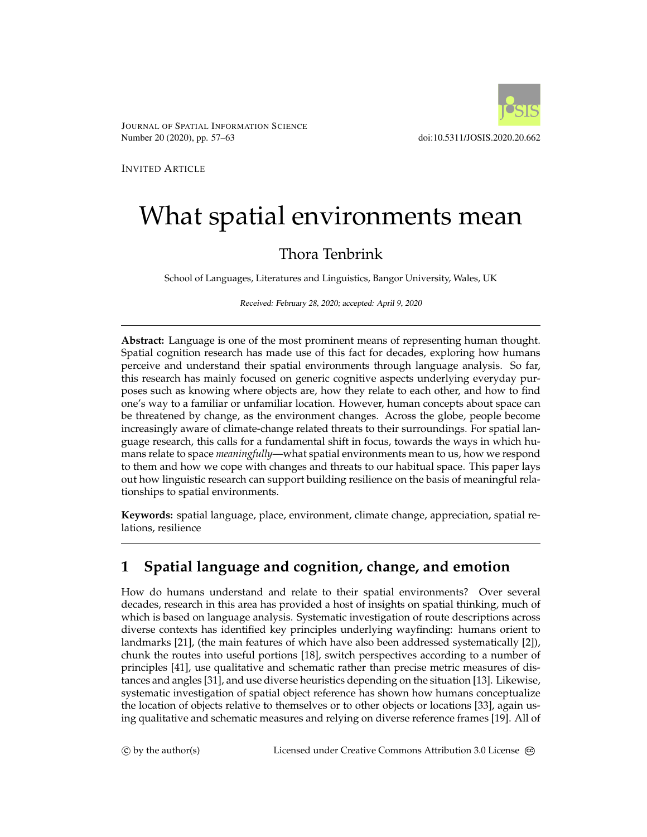JOURNAL OF SPATIAL INFORMATION SCIENCE Number 20 (2020), pp. 57–63 doi:10.5311/JOSIS.2020.20.662



INVITED ARTICLE

# What spatial environments mean

# Thora Tenbrink

School of Languages, Literatures and Linguistics, Bangor University, Wales, UK

Received: February 28, 2020; accepted: April 9, 2020

**Abstract:** Language is one of the most prominent means of representing human thought. Spatial cognition research has made use of this fact for decades, exploring how humans perceive and understand their spatial environments through language analysis. So far, this research has mainly focused on generic cognitive aspects underlying everyday purposes such as knowing where objects are, how they relate to each other, and how to find one's way to a familiar or unfamiliar location. However, human concepts about space can be threatened by change, as the environment changes. Across the globe, people become increasingly aware of climate-change related threats to their surroundings. For spatial language research, this calls for a fundamental shift in focus, towards the ways in which humans relate to space *meaningfully*—what spatial environments mean to us, how we respond to them and how we cope with changes and threats to our habitual space. This paper lays out how linguistic research can support building resilience on the basis of meaningful relationships to spatial environments.

**Keywords:** spatial language, place, environment, climate change, appreciation, spatial relations, resilience

# **1 Spatial language and cognition, change, and emotion**

How do humans understand and relate to their spatial environments? Over several decades, research in this area has provided a host of insights on spatial thinking, much of which is based on language analysis. Systematic investigation of route descriptions across diverse contexts has identified key principles underlying wayfinding: humans orient to landmarks [\[21\]](#page-5-0), (the main features of which have also been addressed systematically [\[2\]](#page-4-0)), chunk the routes into useful portions [\[18\]](#page-5-1), switch perspectives according to a number of principles [\[41\]](#page-6-0), use qualitative and schematic rather than precise metric measures of distances and angles [\[31\]](#page-5-2), and use diverse heuristics depending on the situation [\[13\]](#page-4-1). Likewise, systematic investigation of spatial object reference has shown how humans conceptualize the location of objects relative to themselves or to other objects or locations [\[33\]](#page-6-1), again using qualitative and schematic measures and relying on diverse reference frames [\[19\]](#page-5-3). All of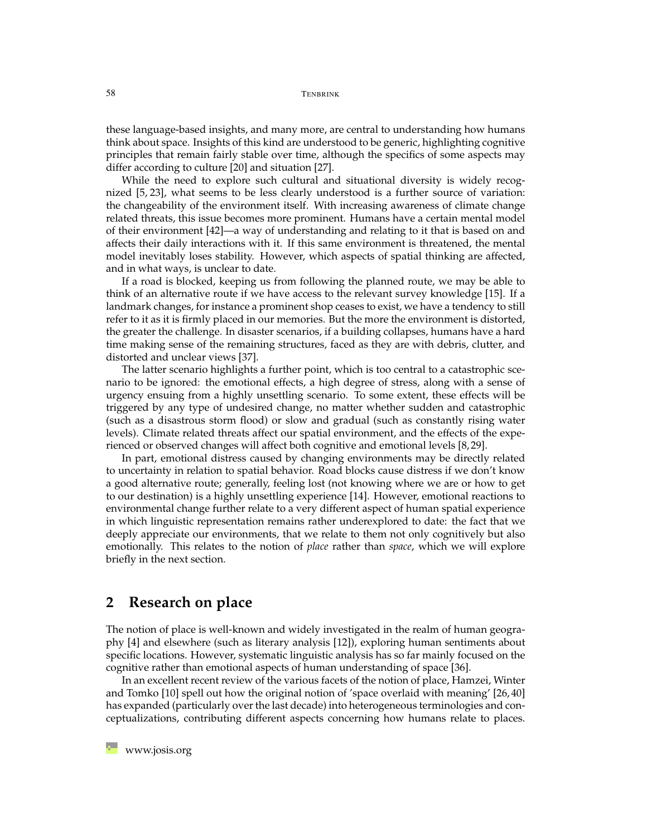these language-based insights, and many more, are central to understanding how humans think about space. Insights of this kind are understood to be generic, highlighting cognitive principles that remain fairly stable over time, although the specifics of some aspects may differ according to culture [\[20\]](#page-5-4) and situation [\[27\]](#page-5-5).

While the need to explore such cultural and situational diversity is widely recognized [\[5,](#page-4-2) [23\]](#page-5-6), what seems to be less clearly understood is a further source of variation: the changeability of the environment itself. With increasing awareness of climate change related threats, this issue becomes more prominent. Humans have a certain mental model of their environment [\[42\]](#page-6-2)—a way of understanding and relating to it that is based on and affects their daily interactions with it. If this same environment is threatened, the mental model inevitably loses stability. However, which aspects of spatial thinking are affected, and in what ways, is unclear to date.

If a road is blocked, keeping us from following the planned route, we may be able to think of an alternative route if we have access to the relevant survey knowledge [\[15\]](#page-4-3). If a landmark changes, for instance a prominent shop ceases to exist, we have a tendency to still refer to it as it is firmly placed in our memories. But the more the environment is distorted, the greater the challenge. In disaster scenarios, if a building collapses, humans have a hard time making sense of the remaining structures, faced as they are with debris, clutter, and distorted and unclear views [\[37\]](#page-6-3).

The latter scenario highlights a further point, which is too central to a catastrophic scenario to be ignored: the emotional effects, a high degree of stress, along with a sense of urgency ensuing from a highly unsettling scenario. To some extent, these effects will be triggered by any type of undesired change, no matter whether sudden and catastrophic (such as a disastrous storm flood) or slow and gradual (such as constantly rising water levels). Climate related threats affect our spatial environment, and the effects of the experienced or observed changes will affect both cognitive and emotional levels [\[8,](#page-4-4) [29\]](#page-5-7).

In part, emotional distress caused by changing environments may be directly related to uncertainty in relation to spatial behavior. Road blocks cause distress if we don't know a good alternative route; generally, feeling lost (not knowing where we are or how to get to our destination) is a highly unsettling experience [\[14\]](#page-4-5). However, emotional reactions to environmental change further relate to a very different aspect of human spatial experience in which linguistic representation remains rather underexplored to date: the fact that we deeply appreciate our environments, that we relate to them not only cognitively but also emotionally. This relates to the notion of *place* rather than *space*, which we will explore briefly in the next section.

#### **2 Research on place**

The notion of place is well-known and widely investigated in the realm of human geography [\[4\]](#page-4-6) and elsewhere (such as literary analysis [\[12\]](#page-4-7)), exploring human sentiments about specific locations. However, systematic linguistic analysis has so far mainly focused on the cognitive rather than emotional aspects of human understanding of space [\[36\]](#page-6-4).

In an excellent recent review of the various facets of the notion of place, Hamzei, Winter and Tomko [\[10\]](#page-4-8) spell out how the original notion of 'space overlaid with meaning' [\[26,](#page-5-8) [40\]](#page-6-5) has expanded (particularly over the last decade) into heterogeneous terminologies and conceptualizations, contributing different aspects concerning how humans relate to places.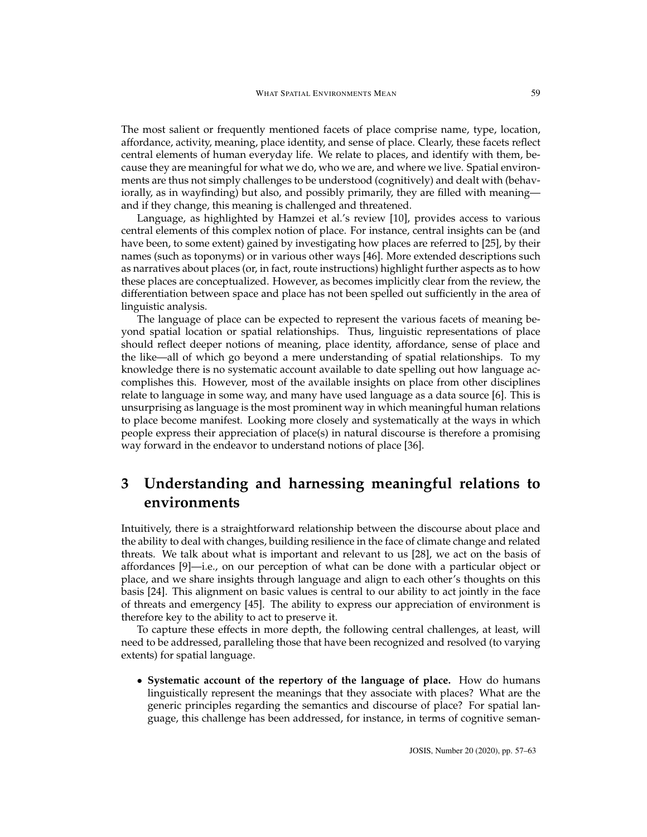The most salient or frequently mentioned facets of place comprise name, type, location, affordance, activity, meaning, place identity, and sense of place. Clearly, these facets reflect central elements of human everyday life. We relate to places, and identify with them, because they are meaningful for what we do, who we are, and where we live. Spatial environments are thus not simply challenges to be understood (cognitively) and dealt with (behaviorally, as in wayfinding) but also, and possibly primarily, they are filled with meaning and if they change, this meaning is challenged and threatened.

Language, as highlighted by Hamzei et al.'s review [\[10\]](#page-4-8), provides access to various central elements of this complex notion of place. For instance, central insights can be (and have been, to some extent) gained by investigating how places are referred to [\[25\]](#page-5-9), by their names (such as toponyms) or in various other ways [\[46\]](#page-6-6). More extended descriptions such as narratives about places (or, in fact, route instructions) highlight further aspects as to how these places are conceptualized. However, as becomes implicitly clear from the review, the differentiation between space and place has not been spelled out sufficiently in the area of linguistic analysis.

The language of place can be expected to represent the various facets of meaning beyond spatial location or spatial relationships. Thus, linguistic representations of place should reflect deeper notions of meaning, place identity, affordance, sense of place and the like—all of which go beyond a mere understanding of spatial relationships. To my knowledge there is no systematic account available to date spelling out how language accomplishes this. However, most of the available insights on place from other disciplines relate to language in some way, and many have used language as a data source [\[6\]](#page-4-9). This is unsurprising as language is the most prominent way in which meaningful human relations to place become manifest. Looking more closely and systematically at the ways in which people express their appreciation of place(s) in natural discourse is therefore a promising way forward in the endeavor to understand notions of place [\[36\]](#page-6-4).

## **3 Understanding and harnessing meaningful relations to environments**

Intuitively, there is a straightforward relationship between the discourse about place and the ability to deal with changes, building resilience in the face of climate change and related threats. We talk about what is important and relevant to us [\[28\]](#page-5-10), we act on the basis of affordances [\[9\]](#page-4-10)—i.e., on our perception of what can be done with a particular object or place, and we share insights through language and align to each other's thoughts on this basis [\[24\]](#page-5-11). This alignment on basic values is central to our ability to act jointly in the face of threats and emergency [\[45\]](#page-6-7). The ability to express our appreciation of environment is therefore key to the ability to act to preserve it.

To capture these effects in more depth, the following central challenges, at least, will need to be addressed, paralleling those that have been recognized and resolved (to varying extents) for spatial language.

• **Systematic account of the repertory of the language of place.** How do humans linguistically represent the meanings that they associate with places? What are the generic principles regarding the semantics and discourse of place? For spatial language, this challenge has been addressed, for instance, in terms of cognitive seman-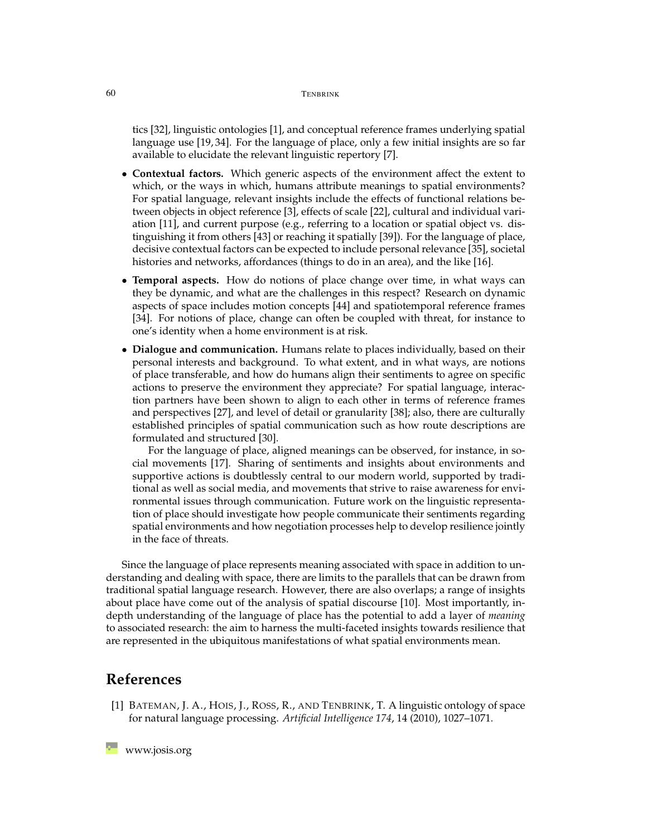#### 60 TENBRINK

tics [\[32\]](#page-6-8), linguistic ontologies [\[1\]](#page-3-0), and conceptual reference frames underlying spatial language use [\[19,](#page-5-3) [34\]](#page-6-9). For the language of place, only a few initial insights are so far available to elucidate the relevant linguistic repertory [\[7\]](#page-4-11).

- **Contextual factors.** Which generic aspects of the environment affect the extent to which, or the ways in which, humans attribute meanings to spatial environments? For spatial language, relevant insights include the effects of functional relations between objects in object reference [\[3\]](#page-4-12), effects of scale [\[22\]](#page-5-12), cultural and individual variation [\[11\]](#page-4-13), and current purpose (e.g., referring to a location or spatial object vs. distinguishing it from others [\[43\]](#page-6-10) or reaching it spatially [\[39\]](#page-6-11)). For the language of place, decisive contextual factors can be expected to include personal relevance [\[35\]](#page-6-12), societal histories and networks, affordances (things to do in an area), and the like [\[16\]](#page-4-14).
- **Temporal aspects.** How do notions of place change over time, in what ways can they be dynamic, and what are the challenges in this respect? Research on dynamic aspects of space includes motion concepts [\[44\]](#page-6-13) and spatiotemporal reference frames [\[34\]](#page-6-9). For notions of place, change can often be coupled with threat, for instance to one's identity when a home environment is at risk.
- **Dialogue and communication.** Humans relate to places individually, based on their personal interests and background. To what extent, and in what ways, are notions of place transferable, and how do humans align their sentiments to agree on specific actions to preserve the environment they appreciate? For spatial language, interaction partners have been shown to align to each other in terms of reference frames and perspectives [\[27\]](#page-5-5), and level of detail or granularity [\[38\]](#page-6-14); also, there are culturally established principles of spatial communication such as how route descriptions are formulated and structured [\[30\]](#page-5-13).

For the language of place, aligned meanings can be observed, for instance, in social movements [\[17\]](#page-5-14). Sharing of sentiments and insights about environments and supportive actions is doubtlessly central to our modern world, supported by traditional as well as social media, and movements that strive to raise awareness for environmental issues through communication. Future work on the linguistic representation of place should investigate how people communicate their sentiments regarding spatial environments and how negotiation processes help to develop resilience jointly in the face of threats.

Since the language of place represents meaning associated with space in addition to understanding and dealing with space, there are limits to the parallels that can be drawn from traditional spatial language research. However, there are also overlaps; a range of insights about place have come out of the analysis of spatial discourse [\[10\]](#page-4-8). Most importantly, indepth understanding of the language of place has the potential to add a layer of *meaning* to associated research: the aim to harness the multi-faceted insights towards resilience that are represented in the ubiquitous manifestations of what spatial environments mean.

### **References**

<span id="page-3-0"></span>[1] BATEMAN, J. A., HOIS, J., ROSS, R., AND TENBRINK, T. A linguistic ontology of space for natural language processing. *Artificial Intelligence 174*, 14 (2010), 1027–1071.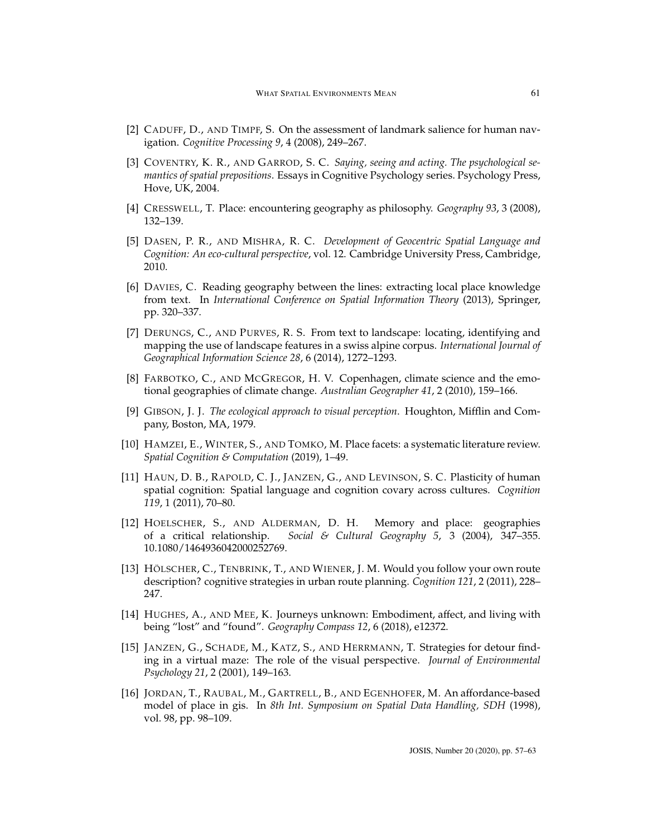- <span id="page-4-0"></span>[2] CADUFF, D., AND TIMPF, S. On the assessment of landmark salience for human navigation. *Cognitive Processing 9*, 4 (2008), 249–267.
- <span id="page-4-12"></span>[3] COVENTRY, K. R., AND GARROD, S. C. *Saying, seeing and acting. The psychological semantics of spatial prepositions*. Essays in Cognitive Psychology series. Psychology Press, Hove, UK, 2004.
- <span id="page-4-6"></span>[4] CRESSWELL, T. Place: encountering geography as philosophy. *Geography 93*, 3 (2008), 132–139.
- <span id="page-4-2"></span>[5] DASEN, P. R., AND MISHRA, R. C. *Development of Geocentric Spatial Language and Cognition: An eco-cultural perspective*, vol. 12. Cambridge University Press, Cambridge, 2010.
- <span id="page-4-9"></span>[6] DAVIES, C. Reading geography between the lines: extracting local place knowledge from text. In *International Conference on Spatial Information Theory* (2013), Springer, pp. 320–337.
- <span id="page-4-11"></span>[7] DERUNGS, C., AND PURVES, R. S. From text to landscape: locating, identifying and mapping the use of landscape features in a swiss alpine corpus. *International Journal of Geographical Information Science 28*, 6 (2014), 1272–1293.
- <span id="page-4-4"></span>[8] FARBOTKO, C., AND MCGREGOR, H. V. Copenhagen, climate science and the emotional geographies of climate change. *Australian Geographer 41*, 2 (2010), 159–166.
- <span id="page-4-10"></span>[9] GIBSON, J. J. *The ecological approach to visual perception*. Houghton, Mifflin and Company, Boston, MA, 1979.
- <span id="page-4-8"></span>[10] HAMZEI, E., WINTER, S., AND TOMKO, M. Place facets: a systematic literature review. *Spatial Cognition & Computation* (2019), 1–49.
- <span id="page-4-13"></span>[11] HAUN, D. B., RAPOLD, C. J., JANZEN, G., AND LEVINSON, S. C. Plasticity of human spatial cognition: Spatial language and cognition covary across cultures. *Cognition 119*, 1 (2011), 70–80.
- <span id="page-4-7"></span>[12] HOELSCHER, S., AND ALDERMAN, D. H. Memory and place: geographies of a critical relationship. *Social & Cultural Geography 5*, 3 (2004), 347–355. 10.1080/1464936042000252769.
- <span id="page-4-1"></span>[13] HÖLSCHER, C., TENBRINK, T., AND WIENER, J. M. Would you follow your own route description? cognitive strategies in urban route planning. *Cognition 121*, 2 (2011), 228– 247.
- <span id="page-4-5"></span>[14] HUGHES, A., AND MEE, K. Journeys unknown: Embodiment, affect, and living with being "lost" and "found". *Geography Compass 12*, 6 (2018), e12372.
- <span id="page-4-3"></span>[15] JANZEN, G., SCHADE, M., KATZ, S., AND HERRMANN, T. Strategies for detour finding in a virtual maze: The role of the visual perspective. *Journal of Environmental Psychology 21*, 2 (2001), 149–163.
- <span id="page-4-14"></span>[16] JORDAN, T., RAUBAL, M., GARTRELL, B., AND EGENHOFER, M. An affordance-based model of place in gis. In *8th Int. Symposium on Spatial Data Handling, SDH* (1998), vol. 98, pp. 98–109.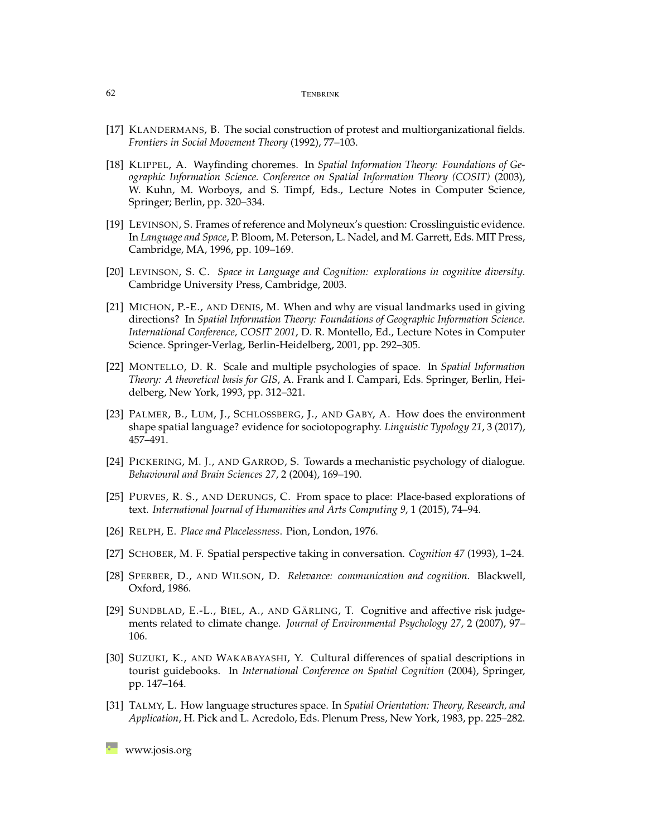#### 62 TENREINK

- <span id="page-5-14"></span>[17] KLANDERMANS, B. The social construction of protest and multiorganizational fields. *Frontiers in Social Movement Theory* (1992), 77–103.
- <span id="page-5-1"></span>[18] KLIPPEL, A. Wayfinding choremes. In *Spatial Information Theory: Foundations of Geographic Information Science. Conference on Spatial Information Theory (COSIT)* (2003), W. Kuhn, M. Worboys, and S. Timpf, Eds., Lecture Notes in Computer Science, Springer; Berlin, pp. 320–334.
- <span id="page-5-3"></span>[19] LEVINSON, S. Frames of reference and Molyneux's question: Crosslinguistic evidence. In *Language and Space*, P. Bloom, M. Peterson, L. Nadel, and M. Garrett, Eds. MIT Press, Cambridge, MA, 1996, pp. 109–169.
- <span id="page-5-4"></span>[20] LEVINSON, S. C. *Space in Language and Cognition: explorations in cognitive diversity*. Cambridge University Press, Cambridge, 2003.
- <span id="page-5-0"></span>[21] MICHON, P.-E., AND DENIS, M. When and why are visual landmarks used in giving directions? In *Spatial Information Theory: Foundations of Geographic Information Science. International Conference, COSIT 2001*, D. R. Montello, Ed., Lecture Notes in Computer Science. Springer-Verlag, Berlin-Heidelberg, 2001, pp. 292–305.
- <span id="page-5-12"></span>[22] MONTELLO, D. R. Scale and multiple psychologies of space. In *Spatial Information Theory: A theoretical basis for GIS*, A. Frank and I. Campari, Eds. Springer, Berlin, Heidelberg, New York, 1993, pp. 312–321.
- <span id="page-5-6"></span>[23] PALMER, B., LUM, J., SCHLOSSBERG, J., AND GABY, A. How does the environment shape spatial language? evidence for sociotopography. *Linguistic Typology 21*, 3 (2017), 457–491.
- <span id="page-5-11"></span>[24] PICKERING, M. J., AND GARROD, S. Towards a mechanistic psychology of dialogue. *Behavioural and Brain Sciences 27*, 2 (2004), 169–190.
- <span id="page-5-9"></span>[25] PURVES, R. S., AND DERUNGS, C. From space to place: Place-based explorations of text. *International Journal of Humanities and Arts Computing 9*, 1 (2015), 74–94.
- <span id="page-5-8"></span>[26] RELPH, E. *Place and Placelessness*. Pion, London, 1976.
- <span id="page-5-5"></span>[27] SCHOBER, M. F. Spatial perspective taking in conversation. *Cognition 47* (1993), 1–24.
- <span id="page-5-10"></span>[28] SPERBER, D., AND WILSON, D. *Relevance: communication and cognition*. Blackwell, Oxford, 1986.
- <span id="page-5-7"></span>[29] SUNDBLAD, E.-L., BIEL, A., AND GÄRLING, T. Cognitive and affective risk judgements related to climate change. *Journal of Environmental Psychology 27*, 2 (2007), 97– 106.
- <span id="page-5-13"></span>[30] SUZUKI, K., AND WAKABAYASHI, Y. Cultural differences of spatial descriptions in tourist guidebooks. In *International Conference on Spatial Cognition* (2004), Springer, pp. 147–164.
- <span id="page-5-2"></span>[31] TALMY, L. How language structures space. In *Spatial Orientation: Theory, Research, and Application*, H. Pick and L. Acredolo, Eds. Plenum Press, New York, 1983, pp. 225–282.

**[www.josis.org](http://www.josis.org)**